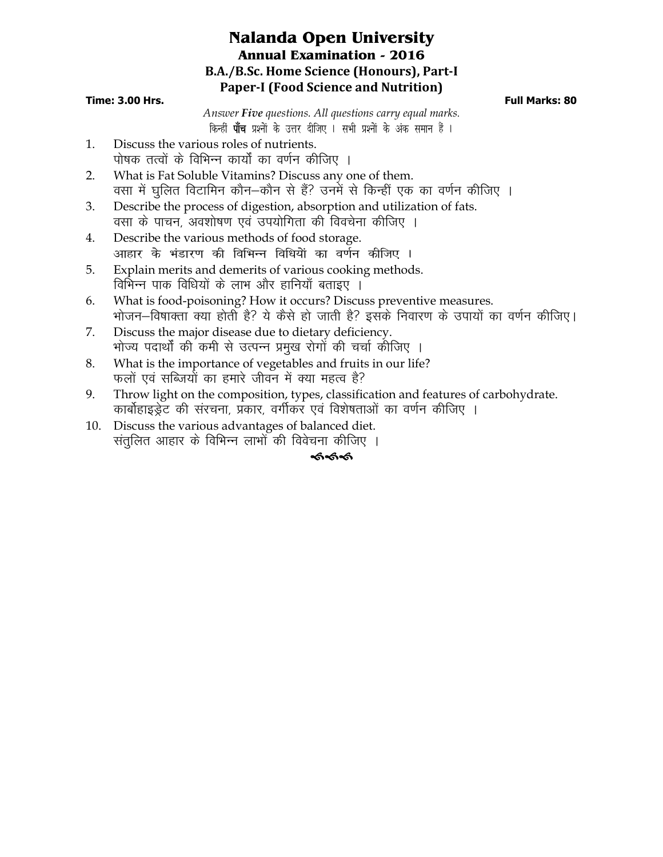# **Nalanda Open University Annual Examination - 2016 B.A./B.Sc. Home Science (Honours), Part-I Paper-I (Food Science and Nutrition)**

#### **Time: 3.00 Hrs. Full Marks: 80**

*Answer Five questions. All questions carry equal marks*. *किन्हीं पाँच प्रश्नों के उत्तर दीजिए । सभी प्रश्नों के अंक समान हैं ।* 

- 1. Discuss the various roles of nutrients. पोषक तत्वों के विभिन्न कार्यों का वर्णन कीजिए ।
- 2. What is Fat Soluble Vitamins? Discuss any one of them. वसा में घूलित विटामिन कौन–कौन से हैं? उनमें से किन्हीं एक का वर्णन कीजिए ।
- 3. Describe the process of digestion, absorption and utilization of fats. वसा के पाचन, अवशोषण एवं उपयोगिता की विवचेना कीजिए ।
- 4. Describe the various methods of food storage. आहार के भंडारण की विभिन्न विधियों का वर्णन कीजिए ।
- 5. Explain merits and demerits of various cooking methods. विभिन्न पाक विधियों के लाभ और हानियाँ बताइए ।
- 6. What is food-poisoning? How it occurs? Discuss preventive measures. भोजन–विषाक्ता क्या होती है? ये कैसे हो जाती है? इसके निवारण के उपायों का वर्णन कीजिए।
- 7. Discuss the major disease due to dietary deficiency. भोज्य पदार्थों की कमी से उत्पन्न प्रमुख रोगों की चर्चा कीजिए ।
- 8. What is the importance of vegetables and fruits in our life? फलों एवं सब्जियों का हमारे जीवन में क्या महत्व है?
- 9. Throw light on the composition, types, classification and features of carbohydrate. कार्बोहाइड्रेट की संरचना, प्रकार, वर्गीकर एवं विशेषताओं का वर्णन कीजिए ।
- 10. Discuss the various advantages of balanced diet. संतुलित आहार के विभिन्न लाभों की विवेचना कीजिए ।

### কৰ্কক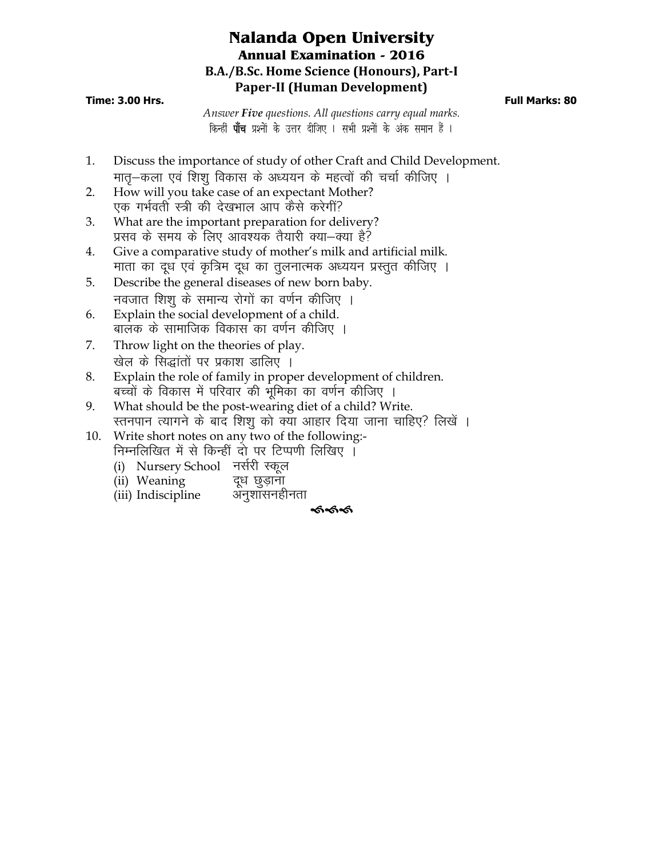# **Nalanda Open University Annual Examination - 2016 B.A./B.Sc. Home Science (Honours), Part-I Paper-II (Human Development)**

#### **Time: 3.00 Hrs. Full Marks: 80**

*Answer Five questions. All questions carry equal marks*. *किन्हीं पाँच प्रश्नों के उत्तर दीजिए । सभी प्रश्नों के अंक समान हैं ।* 

- 1. Discuss the importance of study of other Craft and Child Development. मात्-कला एवं शिशु विकास के अध्ययन के महत्वों की चर्चा कीजिए ।
- 2. How will you take case of an expectant Mother? एक गर्भवती स्त्री की देखभाल आप कैसे करेगीं?
- 3. What are the important preparation for delivery? प्रसव के समय के लिए आवश्यक तैयारी क्या—क्या है?
- 4. Give a comparative study of mother's milk and artificial milk. माता का दूध एवं कृत्रिम दूध का तुलनात्मक अध्ययन प्रस्तुत कीजिए ।
- 5. Describe the general diseases of new born baby. नवजात शिश के समान्य रोगों का वर्णन कीजिए ।
- 6. Explain the social development of a child. बालक के सामाजिक विकास का वर्णन कीजिए ।
- 7. Throw light on the theories of play. खेल के सिद्धांतों पर प्रकाश डालिए ।
- 8. Explain the role of family in proper development of children. बच्चों के विकास में परिवार की भूमिका का वर्णन कीजिए ।
- 9. What should be the post-wearing diet of a child? Write. स्तनपान त्यागने के बाद शिशु को क्या आहार दिया जाना चाहिए? लिखें ।
- 10. Write short notes on any two of the following:- निम्नलिखित में से किन्हीं दो पर टिप्पणी लिखिए ।
	- (i) Nursery School नर्सरी स्कूल
	- (ii) Weaning दूध छुड़ाना
	- (iii) Indiscipline अनुशासनहीनता

### କ୍ତବ୍ୟ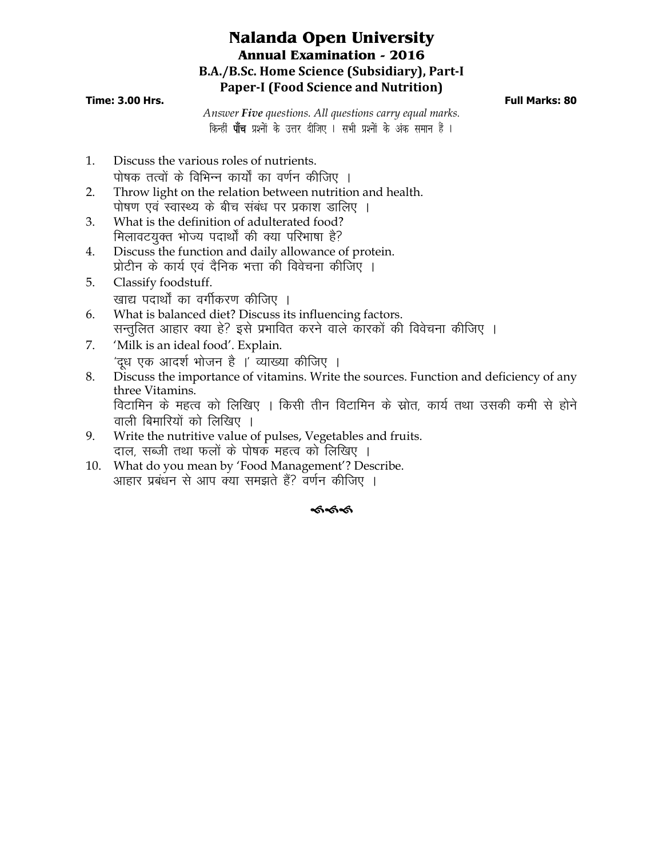# **Nalanda Open University Annual Examination - 2016 B.A./B.Sc. Home Science (Subsidiary), Part-I Paper-I (Food Science and Nutrition)**

#### **Time: 3.00 Hrs. Full Marks: 80**

*Answer Five questions. All questions carry equal marks*. *किन्हीं पाँच प्रश्नों के उत्तर दीजिए । सभी प्रश्नों के अंक समान हैं ।* 

- 1. Discuss the various roles of nutrients. पोषक तत्वों के विभिन्न कार्यों का वर्णन कीजिए ।
- 2. Throw light on the relation between nutrition and health. पोषण एवं स्वास्थ्य के बीच संबंध पर प्रकाश डालिए ।
- 3. What is the definition of adulterated food? मिलावटयुक्त भोज्य पदार्थों की क्या परिभाषा है?
- 4. Discuss the function and daily allowance of protein. प्रोटीन के कार्य एवं दैनिक भत्ता की विवेचना कीजिए ।
- 5. Classify foodstuff. खाद्य पदार्थों का वर्गीकरण कीजिए ।
- 6. What is balanced diet? Discuss its influencing factors. सन्तुलित आहार क्या हे? इसे प्रभावित करने वाले कारकों की विवेचना कीजिए ।
- 7. 'Milk is an ideal food'. Explain. 'दध एक आदर्श भोजन है ।' व्याख्या कीजिए ।
- 8. Discuss the importance of vitamins. Write the sources. Function and deficiency of any three Vitamins. विटामिन के महत्व को लिखिए । किसी तीन विटामिन के स्रोत, कार्य तथा उसकी कमी से होने
	- वाली बिमारियों को लिखिए ।
- 9. Write the nutritive value of pulses, Vegetables and fruits. दाल, सब्जी तथा फलों के पोषक महत्व को लिखिए ।
- 10. What do you mean by 'Food Management'? Describe. आहार प्रबंधन से आप क्या समझते हैं? वर्णन कीजिए ।

### ക്ക്ക്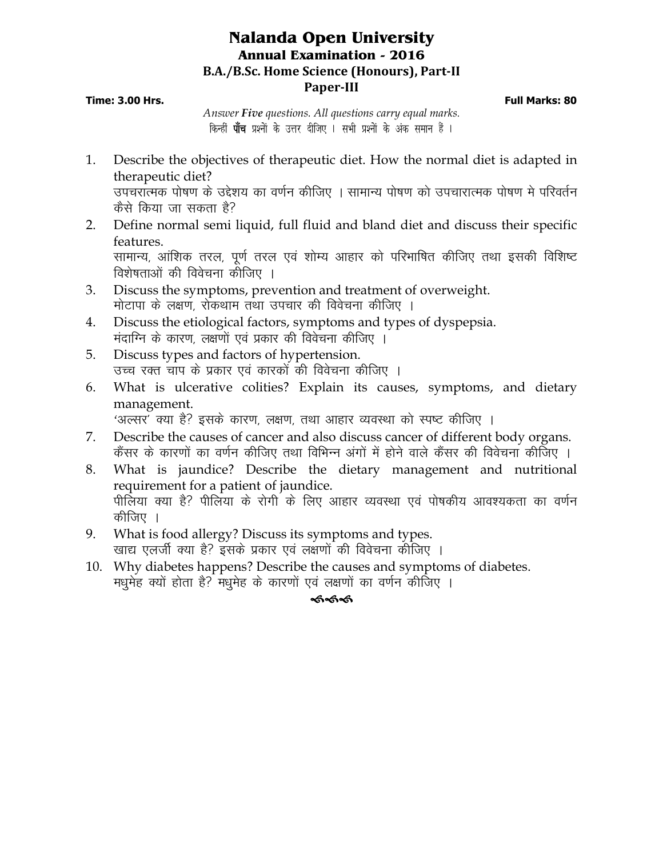## **Nalanda Open University Annual Examination - 2016 B.A./B.Sc. Home Science (Honours), Part-II Paper-III**

**Time: 3.00 Hrs. Full Marks: 80**

*Answer Five questions. All questions carry equal marks*. *किन्हीं पाँच प्रश्नों के उत्तर दीजिए । सभी प्रश्नों के अंक समान हैं ।* 

- 1. Describe the objectives of therapeutic diet. How the normal diet is adapted in therapeutic diet? उपचरात्मक पोषण के उद्देशय का वर्णन कीजिए । सामान्य पोषण को उपचारात्मक पोषण मे परिवर्तन कैसे किया जा सकता है?
- 2. Define normal semi liquid, full fluid and bland diet and discuss their specific features. सामान्य, आंशिक तरल, पूर्ण तरल एवं शोम्य आहार को परिभाषित कीजिए तथा इसकी विशिष्ट
- विशेषताओं की विवेचना कीजिए । 3. Discuss the symptoms, prevention and treatment of overweight.
	- मोटापा के लक्षण. रोकथाम तथा उपचार की विवेचना कीजिए ।
- 4. Discuss the etiological factors, symptoms and types of dyspepsia. मंदाग्नि के कारण, लक्षणों एवं प्रकार की विवेचना कीजिए ।
- 5. Discuss types and factors of hypertension. उच्च रक्त चाप के प्रकार एवं कारकों की विवेचना कीजिए ।
- 6. What is ulcerative colities? Explain its causes, symptoms, and dietary management.

<sup>2</sup>अल्सर' क्या है? इसके कारण, लक्षण, तथा आहार व्यवस्था को स्पष्ट कीजिए ।

- 7. Describe the causes of cancer and also discuss cancer of different body organs. कैंसर के कारणों का वर्णन कीजिए तथा विभिन्न अंगों में होने वाले कैंसर की विवेचना कीजिए ।
- 8. What is jaundice? Describe the dietary management and nutritional requirement for a patient of jaundice. पीलिया क्या है? पीलिया के रोगी के लिए आहार व्यवस्था एवं पोषकीय आवश्यकता का वर्णन कीजिए ।
- 9. What is food allergy? Discuss its symptoms and types. खाद्य एलर्जी क्या है? इसके प्रकार एवं लक्षणों की विवेचना कीजिए ।
- 10. Why diabetes happens? Describe the causes and symptoms of diabetes. मधुमेह क्यों होता है? मधुमेह के कारणों एवं लक्षणों का वर्णन कीजिए ।

### ଈଈ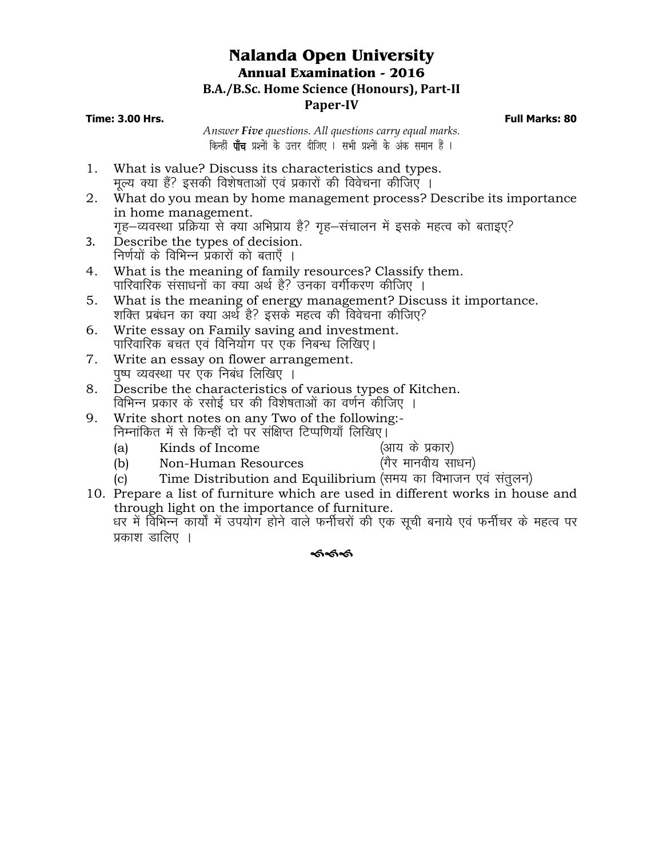## **Nalanda Open University Annual Examination - 2016 B.A./B.Sc. Home Science (Honours), Part-II Paper-IV**

#### **Time: 3.00 Hrs. Full Marks: 80**

*Answer Five questions. All questions carry equal marks*. *किन्हीं पाँच प्रश्नों के उत्तर दीजिए । सभी प्रश्नों के अंक समान हैं ।* 

- 1. What is value? Discuss its characteristics and types. मुल्य क्या हैं? इसकी विशेषताओं एवं प्रकारों की विवेचना कीजिए ।
- 2. What do you mean by home management process? Describe its importance in home management. गृह–व्यवस्था प्रक्रिया से क्या अभिप्राय है? गृह–संचालन में इसके महत्व को बताइए?
- 3. Describe the types of decision. निर्णयों के विभिन्न प्रकारों को बताएँ ।
- 4. What is the meaning of family resources? Classify them. पारिवारिक संसाधनों का क्या अर्थ है? उनका वर्गीकरण कीजिए ।
- 5. What is the meaning of energy management? Discuss it importance. 'शक्ति प्रबंधन का क्या अर्थ है? इसके महत्व की विवेचना कीजिए?
- 6. Write essay on Family saving and investment. पारिवारिक बचत एवं विनियोग पर एक निबन्ध लिखिए।
- 7. Write an essay on flower arrangement. पुष्प व्यवस्था पर एक निबंध लिखिए ।
- 8. Describe the characteristics of various types of Kitchen. विभिन्न प्रकार के रसोई घर की विशेषताओं का वर्णन कीजिए ।
- 9. Write short notes on any Two of the following:- निम्नांकित में से किन्हीं दो पर संक्षिप्त टिप्पणियाँ लिखिए।
	-
- 
- (a) Kinds of Income (आय के प्रकार)<br>(b) Non-Human Resources (गैर मानवीय साधन)  $(b)$  Non-Human Resources
	-
- $(c)$  Time Distribution and Equilibrium (समय का विभाजन एवं संतुलन)
- 10. Prepare a list of furniture which are used in different works in house and through light on the importance of furniture. धर में विभिन्न कार्यों में उपयोग होने वाले फर्नीचरों की एक सूची बनाये एवं फर्नीचर के महत्व पर प्रकाश डालिए ।

### ৰ্কৰ্কৰ্ক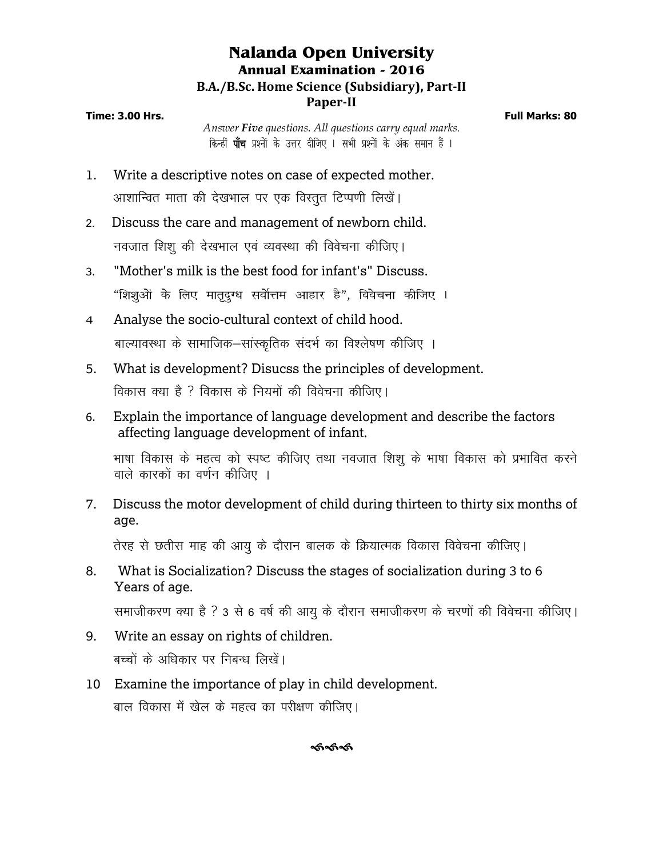# **Nalanda Open University Annual Examination - 2016 B.A./B.Sc. Home Science (Subsidiary), Part-II Paper-II**

**Time: 3.00 Hrs. Full Marks: 80**

*Answer Five questions. All questions carry equal marks*. *किन्हीं पाँच प्रश्नों के उत्तर दीजिए । सभी प्रश्नों के अंक समान हैं ।* 

- 1. Write a descriptive notes on case of expected mother. आशान्वित माता की देखभाल पर एक विस्तूत टिप्पणी लिखें।
- 2- Discuss the care and management of newborn child. नवजात शिश की देखभाल एवं व्यवस्था की विवेचना कीजिए।
- 3. "Mother's milk is the best food for infant's" Discuss. *ßf'k'kqvksa ds fy, ekr`nqX/k loksZÙke vkgkj gSÞ] foospuk dhft, A*
- *4* Analyse the socio-cultural context of child hood. बाल्यावस्था के सामाजिक–सांस्कृतिक संदर्भ का विश्लेषण कीजिए ।
- 5. What is development? Disucss the principles of development. विकास क्या है ? विकास के नियमों की विवेचना कीजिए।
- 6. Explain the importance of language development and describe the factors affecting language development of infant.

भाषा विकास के महत्व को स्पष्ट कीजिए तथा नवजात शिशु के भाषा विकास को प्रभावित करने वाले कारकों का वर्णन कीजिए ।

7. Discuss the motor development of child during thirteen to thirty six months of age.

तेरह से छतीस माह की आयु के दौरान बालक के क्रियात्मक विकास विवेचना कीजिए।

8. What is Socialization? Discuss the stages of socialization during 3 to 6 Years of age.

समाजीकरण क्या है ? 3 से 6 वर्ष की आयु के दौरान समाजीकरण के चरणों की विवेचना कीजिए।

- 9. Write an essay on rights of children. बच्चों के अधिकार पर निबन्ध लिखें।
- 10 Examine the importance of play in child development. बाल विकास में खेल के महत्व का परीक्षण कीजिए।

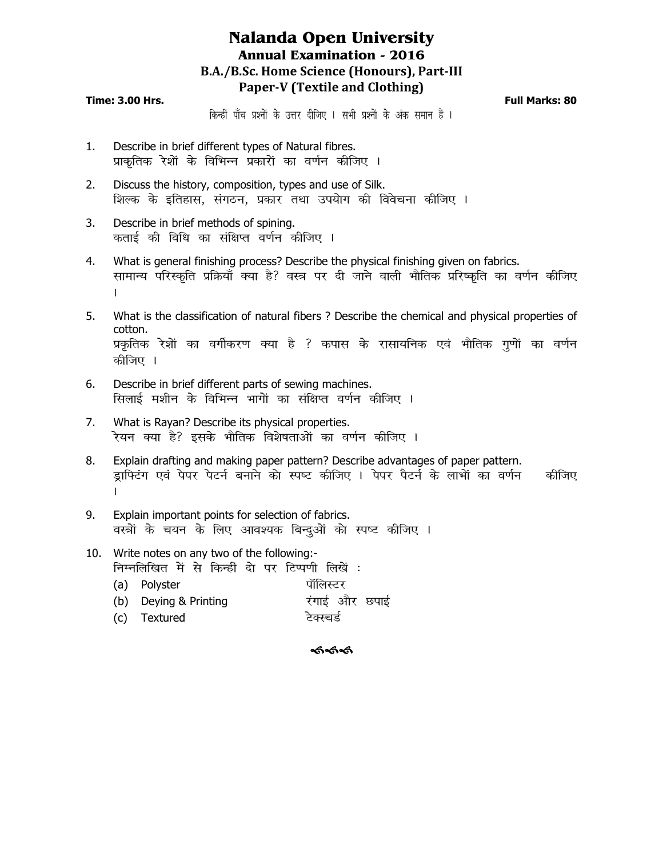# **Nalanda Open University Annual Examination - 2016 B.A./B.Sc. Home Science (Honours), Part-III Paper-V (Textile and Clothing)**

#### **Time: 3.00 Hrs. Full Marks: 80**

*किन्हीं पाँच प्रश्नों के उत्तर दीजिए । सभी प्रश्नों के अंक समान हैं ।* 

- 1. Describe in brief different types of Natural fibres. *izkd`frd js'kksa ds fofHkUu izdkjksa dk o.kZu dhft, A*
- 2. Discuss the history, composition, types and use of Silk. शिल्क के इतिहास, संगठन, प्रकार तथा उपयोग की विवेचना कीजिए l
- 3. Describe in brief methods of spining. *क*ताई की विधि का संक्षिप्त वर्णन कीजिए ।
- 4. What is general finishing process? Describe the physical finishing given on fabrics. *lkekU; ifjLd`fr izfØ;k¡ D;k gS\ oL= ij nh tkus okyh HkkSfrd izfj"d`fr dk o.kZu dhft, A*
- 5. What is the classification of natural fibers ? Describe the chemical and physical properties of cotton. *izÑfrd js'kksa dk oxhZdj.k D;k gS \ dikl ds jklk;fud ,oa HkkSfrd xq.kksa dk o.kZu*  कीजिए ।
- 6. Describe in brief different parts of sewing machines. *सिलाई मशीन के विभिन्न भागों का संक्षिप्त वर्णन कीजिए ।*
- 7. What is Rayan? Describe its physical properties. रेयन क्या है? इसके भौतिक विशेषताओं का वर्णन कीजिए ।
- 8. Explain drafting and making paper pattern? Describe advantages of paper pattern. ड्राफ्टिंग एवं पेपर पेटर्न बनाने को स्पष्ट कीजिए । पेपर पैटर्न के लाभों का वर्णन कीजिए *A*
- 9. Explain important points for selection of fabrics. वस्त्रों के चयन के लिए आवश्यक बिन्दुओं को स्पष्ट कीजिए l
- 10. Write notes on any two of the following: *fuEufyf[kr esa ls fdUgha nks ij fVIi.kh fy[ksa %*
	- (a) Polyster *ikke a strategy* का पालिस्टर (b) Deying & Printing **in Aircry 2014** रंगाई और छपाई (c) Textured *टेक्स्चर्ड*

#### ককক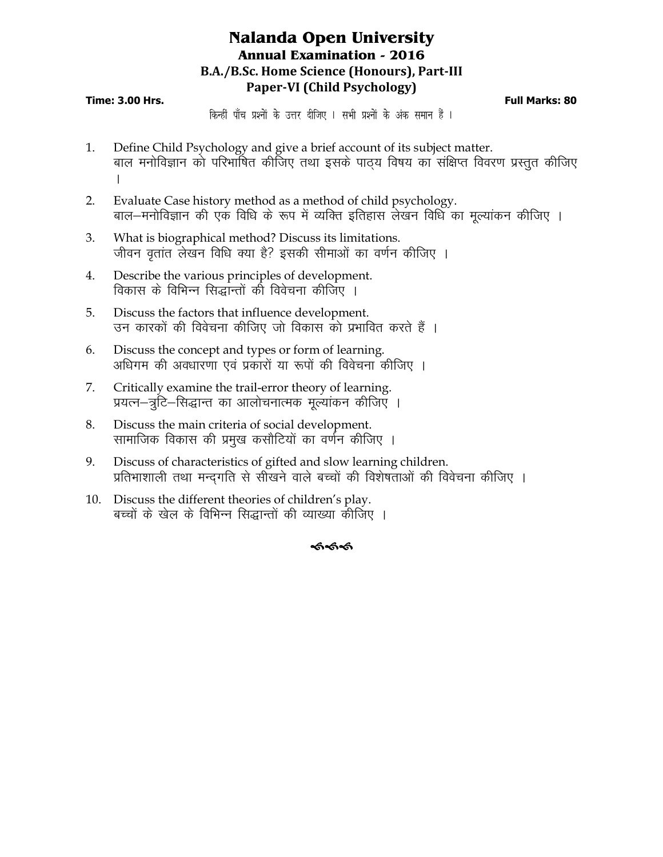# **Nalanda Open University Annual Examination - 2016 B.A./B.Sc. Home Science (Honours), Part-III Paper-VI (Child Psychology)**

#### **Time: 3.00 Hrs. Full Marks: 80**

*किन्हीं* पाँच प्रश्नों के उत्तर दीजिए । सभी प्रश्नों के अंक समान हैं ।

- 1. Define Child Psychology and give a brief account of its subject matter. बाल मनोविज्ञान को परिभाषित कीजिए तथा इसके पाठ्य विषय का संक्षिप्त विवरण प्रस्तुत कीजिए A
- 2. Evaluate Case history method as a method of child psychology. बाल–मनोविज्ञान की एक विधि के रूप में व्यक्ति इतिहास लेखन विधि का मूल्यांकन कीजिए ।
- 3. What is biographical method? Discuss its limitations. जीवन वृतांत लेखन विधि क्या है? इसकी सीमाओं का वर्णन कीजिए ।
- 4. Describe the various principles of development. विकास के विभिन्न सिद्धान्तों की विवेचना कीजिए ।
- 5. Discuss the factors that influence development. उन कारकों की विवेचना कीजिए जो विकास को प्रभावित करते हैं ।
- 6. Discuss the concept and types or form of learning. अधिगम की अवधारणा एवं प्रकारों या रूपों की विवेचना कीजिए ।
- 7. Critically examine the trail-error theory of learning. प्रयत्न–त्रुटि–सिद्धान्त का आलोचनात्मक मूल्यांकन कीजिए ।
- 8. Discuss the main criteria of social development. सामाजिक विकास की प्रमुख कसौटियों का वर्णन कीजिए ।
- 9. Discuss of characteristics of gifted and slow learning children. प्रतिभाशाली तथा मन्द्गति से सीखने वाले बच्चों की विशेषताओं की विवेचना कीजिए ।
- 10. Discuss the different theories of children's play. बच्चों के खेल के विभिन्न सिद्धान्तों की व्याख्या कीजिए ।

#### ଈ୶ୡ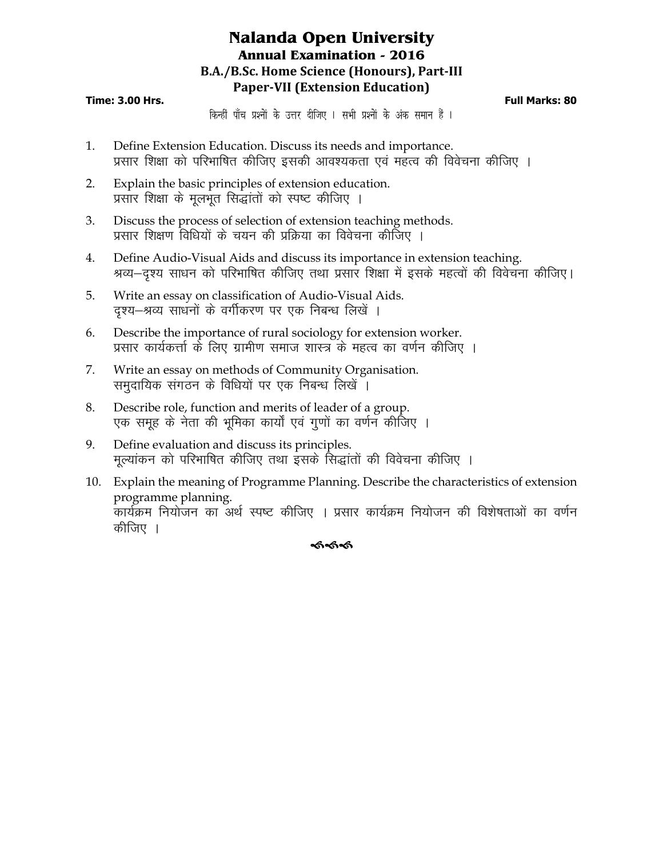# **Nalanda Open University Annual Examination - 2016 B.A./B.Sc. Home Science (Honours), Part-III Paper-VII (Extension Education)**

#### **Time: 3.00 Hrs. Full Marks: 80**

*किन्हीं पाँच प्रश्नों के उत्तर दीजिए । सभी प्रश्नों के अंक समान हैं ।* 

- 1. Define Extension Education. Discuss its needs and importance. प्रसार शिक्षा को परिभाषित कीजिए इसकी आवश्यकता एवं महत्व की विवेचना कीजिए ।
- 2. Explain the basic principles of extension education. प्रसार शिक्षा के मुलभूत सिद्धांतों को स्पष्ट कीजिए ।
- 3. Discuss the process of selection of extension teaching methods. प्रसार शिक्षण विधियों के चयन की प्रक्रिया का विवेचना कीजिए ।
- 4. Define Audio-Visual Aids and discuss its importance in extension teaching. श्रव्य—दृश्य साधन को परिभाषित कीजिए तथा प्रसार शिक्षा में इसके महत्वों की विवेचना कीजिए।
- 5. Write an essay on classification of Audio-Visual Aids. दृश्य-श्रव्य साधनों के वर्गीकरण पर एक निबन्ध लिखें ।
- 6. Describe the importance of rural sociology for extension worker. प्रसार कार्यकर्त्ता के लिए ग्रामीण समाज शास्त्र के महत्व का वर्णन कीजिए ।
- 7. Write an essay on methods of Community Organisation. समुदायिक संगठन के विधियों पर एक निबन्ध लिखें ।
- 8. Describe role, function and merits of leader of a group. एक समूह के नेता की भूमिका कार्यों एवं गुणों का वर्णन कीजिए ।
- 9. Define evaluation and discuss its principles. मल्यांकन को परिभाषित कीजिए तथा इसके सिद्धांतों की विवेचना कीजिए ।
- 10. Explain the meaning of Programme Planning. Describe the characteristics of extension programme planning. कार्यक्रम नियोजन का अर्थ स्पष्ट कीजिए । प्रसार कार्यक्रम नियोजन की विशेषताओं का वर्णन कीजिए ।

### ৰ্কৰ্কৰ্ক